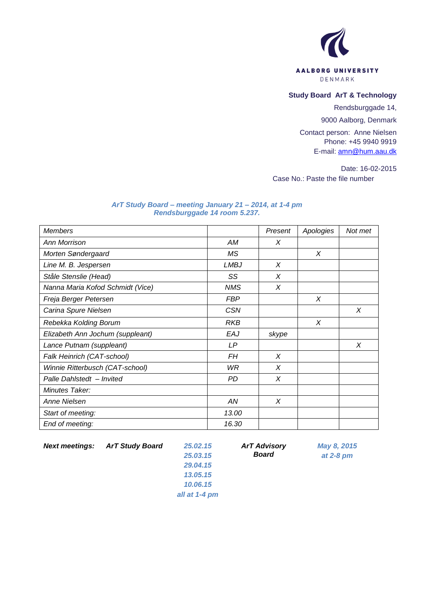

## **Study Board ArT & Technology**

Rendsburggade 14,

9000 Aalborg, Denmark

Contact person: Anne Nielsen Phone: +45 9940 9919 E-mail: [amn@hum.aau.dk](mailto:amn@hum.aau.dk)

Date: 16-02-2015 Case No.: Paste the file number

## *ArT Study Board – meeting January 21 – 2014, at 1-4 pm Rendsburggade 14 room 5.237.*

| <b>Members</b>                   |             | Present | Apologies | Not met |
|----------------------------------|-------------|---------|-----------|---------|
| Ann Morrison                     | АM          | X       |           |         |
| Morten Søndergaard               | ΜS          |         | X         |         |
| Line M. B. Jespersen             | <b>LMBJ</b> | X       |           |         |
| Ståle Stenslie (Head)            | SS          | X       |           |         |
| Nanna Maria Kofod Schmidt (Vice) | <b>NMS</b>  | X       |           |         |
| Freja Berger Petersen            | <b>FBP</b>  |         | X         |         |
| Carina Spure Nielsen             | <b>CSN</b>  |         |           | X       |
| Rebekka Kolding Borum            | RKB         |         | X         |         |
| Elizabeth Ann Jochum (suppleant) | EAJ         | skype   |           |         |
| Lance Putnam (suppleant)         | LP          |         |           | X       |
| Falk Heinrich (CAT-school)       | FH          | X       |           |         |
| Winnie Ritterbusch (CAT-school)  | WR          | X       |           |         |
| Palle Dahlstedt - Invited        | PD          | X       |           |         |
| Minutes Taker:                   |             |         |           |         |
| Anne Nielsen                     | AN          | X       |           |         |
| Start of meeting:                | 13.00       |         |           |         |
| End of meeting:                  | 16.30       |         |           |         |

*Next meetings: ArT Study Board 25.02.15*

*ArT Advisory Board*

*May 8, 2015 at 2-8 pm*

*25.03.15 29.04.15 13.05.15 10.06.15 all at 1-4 pm*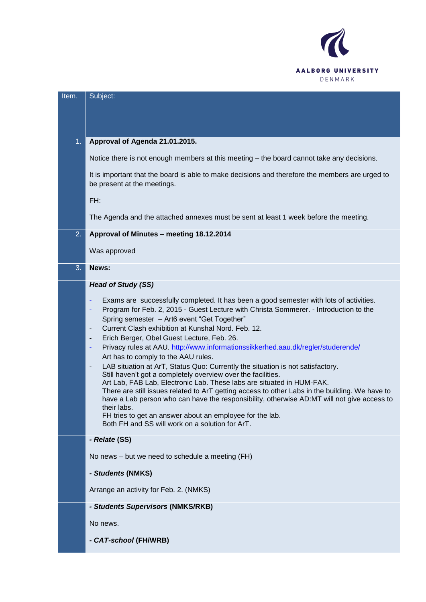

| Item. | Subject:                                                                                                                                                                                                                                                                                                                                                                                                                                                                                                                                                                                                                                                                                                                                                                                                                                                                                                                                                                                                                                                                                                                               |
|-------|----------------------------------------------------------------------------------------------------------------------------------------------------------------------------------------------------------------------------------------------------------------------------------------------------------------------------------------------------------------------------------------------------------------------------------------------------------------------------------------------------------------------------------------------------------------------------------------------------------------------------------------------------------------------------------------------------------------------------------------------------------------------------------------------------------------------------------------------------------------------------------------------------------------------------------------------------------------------------------------------------------------------------------------------------------------------------------------------------------------------------------------|
|       |                                                                                                                                                                                                                                                                                                                                                                                                                                                                                                                                                                                                                                                                                                                                                                                                                                                                                                                                                                                                                                                                                                                                        |
|       |                                                                                                                                                                                                                                                                                                                                                                                                                                                                                                                                                                                                                                                                                                                                                                                                                                                                                                                                                                                                                                                                                                                                        |
| 1.    | Approval of Agenda 21.01.2015.                                                                                                                                                                                                                                                                                                                                                                                                                                                                                                                                                                                                                                                                                                                                                                                                                                                                                                                                                                                                                                                                                                         |
|       |                                                                                                                                                                                                                                                                                                                                                                                                                                                                                                                                                                                                                                                                                                                                                                                                                                                                                                                                                                                                                                                                                                                                        |
|       | Notice there is not enough members at this meeting – the board cannot take any decisions.                                                                                                                                                                                                                                                                                                                                                                                                                                                                                                                                                                                                                                                                                                                                                                                                                                                                                                                                                                                                                                              |
|       | It is important that the board is able to make decisions and therefore the members are urged to<br>be present at the meetings.                                                                                                                                                                                                                                                                                                                                                                                                                                                                                                                                                                                                                                                                                                                                                                                                                                                                                                                                                                                                         |
|       | FH:                                                                                                                                                                                                                                                                                                                                                                                                                                                                                                                                                                                                                                                                                                                                                                                                                                                                                                                                                                                                                                                                                                                                    |
|       | The Agenda and the attached annexes must be sent at least 1 week before the meeting.                                                                                                                                                                                                                                                                                                                                                                                                                                                                                                                                                                                                                                                                                                                                                                                                                                                                                                                                                                                                                                                   |
| 2.    | Approval of Minutes - meeting 18.12.2014                                                                                                                                                                                                                                                                                                                                                                                                                                                                                                                                                                                                                                                                                                                                                                                                                                                                                                                                                                                                                                                                                               |
|       | Was approved                                                                                                                                                                                                                                                                                                                                                                                                                                                                                                                                                                                                                                                                                                                                                                                                                                                                                                                                                                                                                                                                                                                           |
| 3.    | News:                                                                                                                                                                                                                                                                                                                                                                                                                                                                                                                                                                                                                                                                                                                                                                                                                                                                                                                                                                                                                                                                                                                                  |
|       | <b>Head of Study (SS)</b>                                                                                                                                                                                                                                                                                                                                                                                                                                                                                                                                                                                                                                                                                                                                                                                                                                                                                                                                                                                                                                                                                                              |
|       | Exams are successfully completed. It has been a good semester with lots of activities.<br>٠<br>Program for Feb. 2, 2015 - Guest Lecture with Christa Sommerer. - Introduction to the<br>٠<br>Spring semester - Art6 event "Get Together"<br>Current Clash exhibition at Kunshal Nord, Feb. 12.<br>$\overline{\phantom{a}}$<br>Erich Berger, Obel Guest Lecture, Feb. 26.<br>$\overline{\phantom{a}}$<br>Privacy rules at AAU. http://www.informationssikkerhed.aau.dk/regler/studerende/<br>$\blacksquare$<br>Art has to comply to the AAU rules.<br>LAB situation at ArT, Status Quo: Currently the situation is not satisfactory.<br>$\overline{\phantom{a}}$<br>Still haven't got a completely overview over the facilities.<br>Art Lab, FAB Lab, Electronic Lab. These labs are situated in HUM-FAK.<br>There are still issues related to ArT getting access to other Labs in the building. We have to<br>have a Lab person who can have the responsibility, otherwise AD:MT will not give access to<br>their labs.<br>FH tries to get an answer about an employee for the lab.<br>Both FH and SS will work on a solution for ArT. |
|       | - Relate (SS)                                                                                                                                                                                                                                                                                                                                                                                                                                                                                                                                                                                                                                                                                                                                                                                                                                                                                                                                                                                                                                                                                                                          |
|       | No news - but we need to schedule a meeting (FH)                                                                                                                                                                                                                                                                                                                                                                                                                                                                                                                                                                                                                                                                                                                                                                                                                                                                                                                                                                                                                                                                                       |
|       | - Students (NMKS)                                                                                                                                                                                                                                                                                                                                                                                                                                                                                                                                                                                                                                                                                                                                                                                                                                                                                                                                                                                                                                                                                                                      |
|       | Arrange an activity for Feb. 2. (NMKS)                                                                                                                                                                                                                                                                                                                                                                                                                                                                                                                                                                                                                                                                                                                                                                                                                                                                                                                                                                                                                                                                                                 |
|       | - Students Supervisors (NMKS/RKB)                                                                                                                                                                                                                                                                                                                                                                                                                                                                                                                                                                                                                                                                                                                                                                                                                                                                                                                                                                                                                                                                                                      |
|       | No news.                                                                                                                                                                                                                                                                                                                                                                                                                                                                                                                                                                                                                                                                                                                                                                                                                                                                                                                                                                                                                                                                                                                               |
|       | - CAT-school (FH/WRB)                                                                                                                                                                                                                                                                                                                                                                                                                                                                                                                                                                                                                                                                                                                                                                                                                                                                                                                                                                                                                                                                                                                  |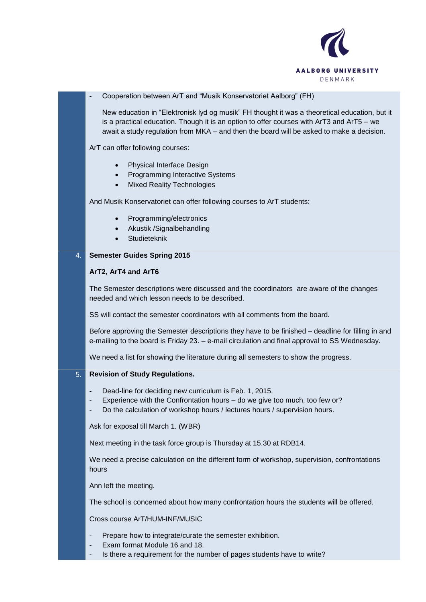

## - Cooperation between ArT and "Musik Konservatoriet Aalborg" (FH) New education in "Elektronisk lyd og musik" FH thought it was a theoretical education, but it is a practical education. Though it is an option to offer courses with ArT3 and ArT5 – we await a study regulation from MKA – and then the board will be asked to make a decision. ArT can offer following courses: • Physical Interface Design • Programming Interactive Systems • Mixed Reality Technologies And Musik Konservatoriet can offer following courses to ArT students: Programming/electronics • Akustik / Signalbehandling Studieteknik 4. **Semester Guides Spring 2015 ArT2, ArT4 and ArT6** The Semester descriptions were discussed and the coordinators are aware of the changes needed and which lesson needs to be described. SS will contact the semester coordinators with all comments from the board. Before approving the Semester descriptions they have to be finished – deadline for filling in and e-mailing to the board is Friday 23. – e-mail circulation and final approval to SS Wednesday. We need a list for showing the literature during all semesters to show the progress. 5. **Revision of Study Regulations.** Dead-line for deciding new curriculum is Feb. 1, 2015. Experience with the Confrontation hours – do we give too much, too few or? Do the calculation of workshop hours / lectures hours / supervision hours. Ask for exposal till March 1. (WBR) Next meeting in the task force group is Thursday at 15.30 at RDB14. We need a precise calculation on the different form of workshop, supervision, confrontations hours Ann left the meeting. The school is concerned about how many confrontation hours the students will be offered. Cross course ArT/HUM-INF/MUSIC Prepare how to integrate/curate the semester exhibition.

- Exam format Module 16 and 18.
- Is there a requirement for the number of pages students have to write?